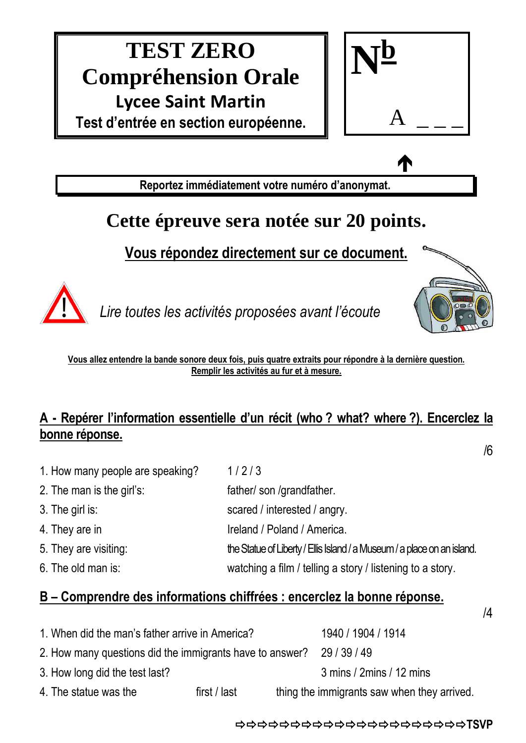# **TEST ZERO Compréhension Orale Lycee Saint Martin Test d'entrée en section européenne.**



 $\bullet$ 

**Reportez immédiatement votre numéro d'anonymat.**

## **Cette épreuve sera notée sur 20 points.**

### **Vous répondez directement sur ce document.**



*Lire toutes les activités proposées avant l'écoute*



/6

/4

**Vous allez entendre la bande sonore deux fois, puis quatre extraits pour répondre à la dernière question. Remplir les activités au fur et à mesure.**

#### **A - Repérer l'information essentielle d'un récit (who ? what? where ?). Encerclez la bonne réponse.**

1. How many people are speaking? 1/2/3 2. The man is the girl's: father/ son /grandfather. 3. The girl is: scared / interested / angry. 4. They are in Ireland / Poland / America. 5. They are visiting: the Statue of Liberty / Ellis Island / a Museum / a place on an island. 6. The old man is: watching a film / telling a story / listening to a story.

#### **B – Comprendre des informations chiffrées : encerclez la bonne réponse.**

1. When did the man's father arrive in America? 1940 / 1904 / 1914 2. How many questions did the immigrants have to answer? 29 / 39 / 49 3. How long did the test last? 3 mins / 2mins / 12 mins 4. The statue was the first / last thing the immigrants saw when they arrived.